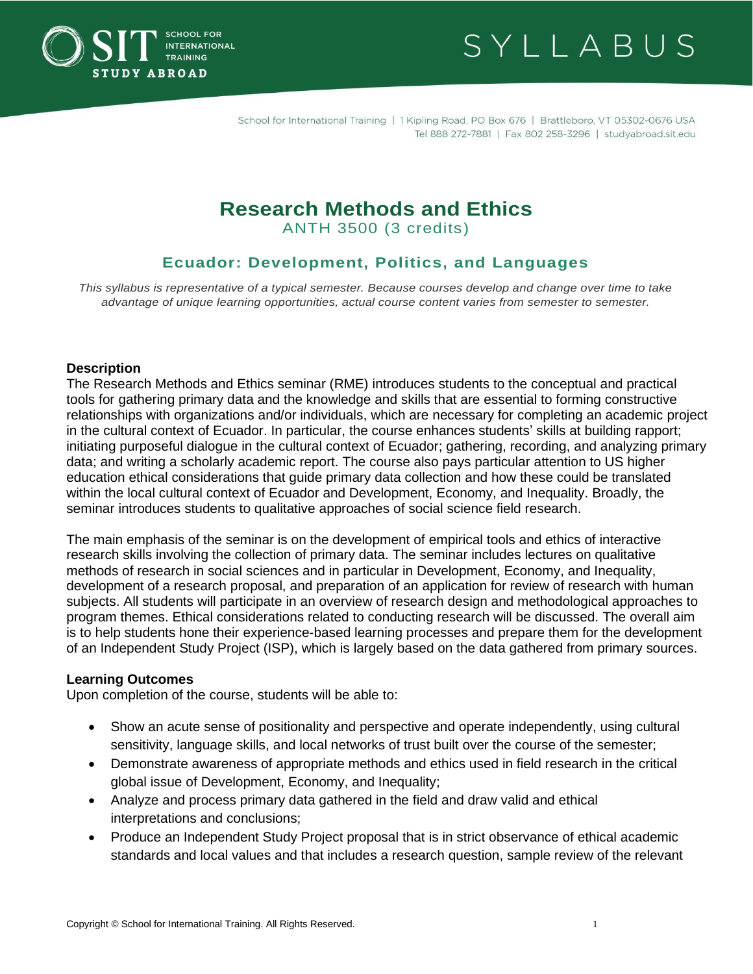



# **Research Methods and Ethics**

ANTH 3500 (3 credits)

## **Ecuador: Development, Politics, and Languages**

*This syllabus is representative of a typical semester. Because courses develop and change over time to take advantage of unique learning opportunities, actual course content varies from semester to semester.*

## **Description**

The Research Methods and Ethics seminar (RME) introduces students to the conceptual and practical tools for gathering primary data and the knowledge and skills that are essential to forming constructive relationships with organizations and/or individuals, which are necessary for completing an academic project in the cultural context of Ecuador. In particular, the course enhances students' skills at building rapport; initiating purposeful dialogue in the cultural context of Ecuador; gathering, recording, and analyzing primary data; and writing a scholarly academic report. The course also pays particular attention to US higher education ethical considerations that guide primary data collection and how these could be translated within the local cultural context of Ecuador and Development, Economy, and Inequality. Broadly, the seminar introduces students to qualitative approaches of social science field research.

The main emphasis of the seminar is on the development of empirical tools and ethics of interactive research skills involving the collection of primary data. The seminar includes lectures on qualitative methods of research in social sciences and in particular in Development, Economy, and Inequality, development of a research proposal, and preparation of an application for review of research with human subjects. All students will participate in an overview of research design and methodological approaches to program themes. Ethical considerations related to conducting research will be discussed. The overall aim is to help students hone their experience-based learning processes and prepare them for the development of an Independent Study Project (ISP), which is largely based on the data gathered from primary sources.

#### **Learning Outcomes**

Upon completion of the course, students will be able to:

- Show an acute sense of positionality and perspective and operate independently, using cultural sensitivity, language skills, and local networks of trust built over the course of the semester;
- Demonstrate awareness of appropriate methods and ethics used in field research in the critical global issue of Development, Economy, and Inequality;
- Analyze and process primary data gathered in the field and draw valid and ethical interpretations and conclusions;
- Produce an Independent Study Project proposal that is in strict observance of ethical academic standards and local values and that includes a research question, sample review of the relevant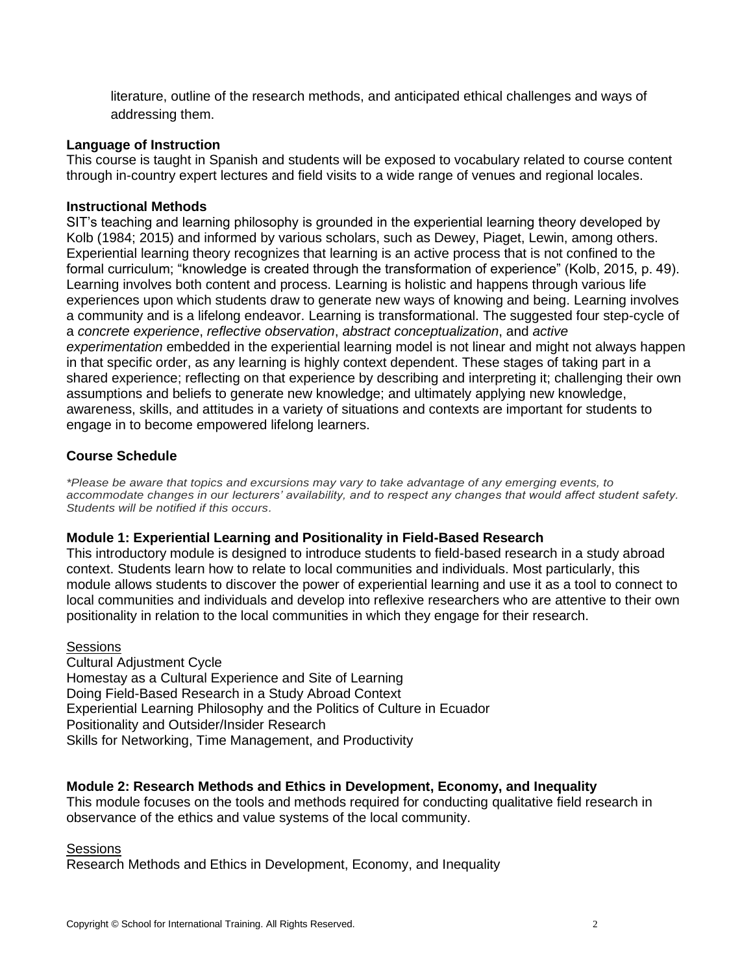literature, outline of the research methods, and anticipated ethical challenges and ways of addressing them.

## **Language of Instruction**

This course is taught in Spanish and students will be exposed to vocabulary related to course content through in-country expert lectures and field visits to a wide range of venues and regional locales.

## **Instructional Methods**

SIT's teaching and learning philosophy is grounded in the experiential learning theory developed by Kolb (1984; 2015) and informed by various scholars, such as Dewey, Piaget, Lewin, among others. Experiential learning theory recognizes that learning is an active process that is not confined to the formal curriculum; "knowledge is created through the transformation of experience" (Kolb, 2015, p. 49). Learning involves both content and process. Learning is holistic and happens through various life experiences upon which students draw to generate new ways of knowing and being. Learning involves a community and is a lifelong endeavor. Learning is transformational. The suggested four step-cycle of a *concrete experience*, *reflective observation*, *abstract conceptualization*, and *active experimentation* embedded in the experiential learning model is not linear and might not always happen in that specific order, as any learning is highly context dependent. These stages of taking part in a shared experience; reflecting on that experience by describing and interpreting it; challenging their own assumptions and beliefs to generate new knowledge; and ultimately applying new knowledge, awareness, skills, and attitudes in a variety of situations and contexts are important for students to engage in to become empowered lifelong learners.

## **Course Schedule**

*\*Please be aware that topics and excursions may vary to take advantage of any emerging events, to accommodate changes in our lecturers' availability, and to respect any changes that would affect student safety. Students will be notified if this occurs.*

#### **Module 1: Experiential Learning and Positionality in Field-Based Research**

This introductory module is designed to introduce students to field-based research in a study abroad context. Students learn how to relate to local communities and individuals. Most particularly, this module allows students to discover the power of experiential learning and use it as a tool to connect to local communities and individuals and develop into reflexive researchers who are attentive to their own positionality in relation to the local communities in which they engage for their research.

#### **Sessions**

Cultural Adjustment Cycle Homestay as a Cultural Experience and Site of Learning Doing Field-Based Research in a Study Abroad Context Experiential Learning Philosophy and the Politics of Culture in Ecuador Positionality and Outsider/Insider Research Skills for Networking, Time Management, and Productivity

## **Module 2: Research Methods and Ethics in Development, Economy, and Inequality**

This module focuses on the tools and methods required for conducting qualitative field research in observance of the ethics and value systems of the local community.

#### Sessions

Research Methods and Ethics in Development, Economy, and Inequality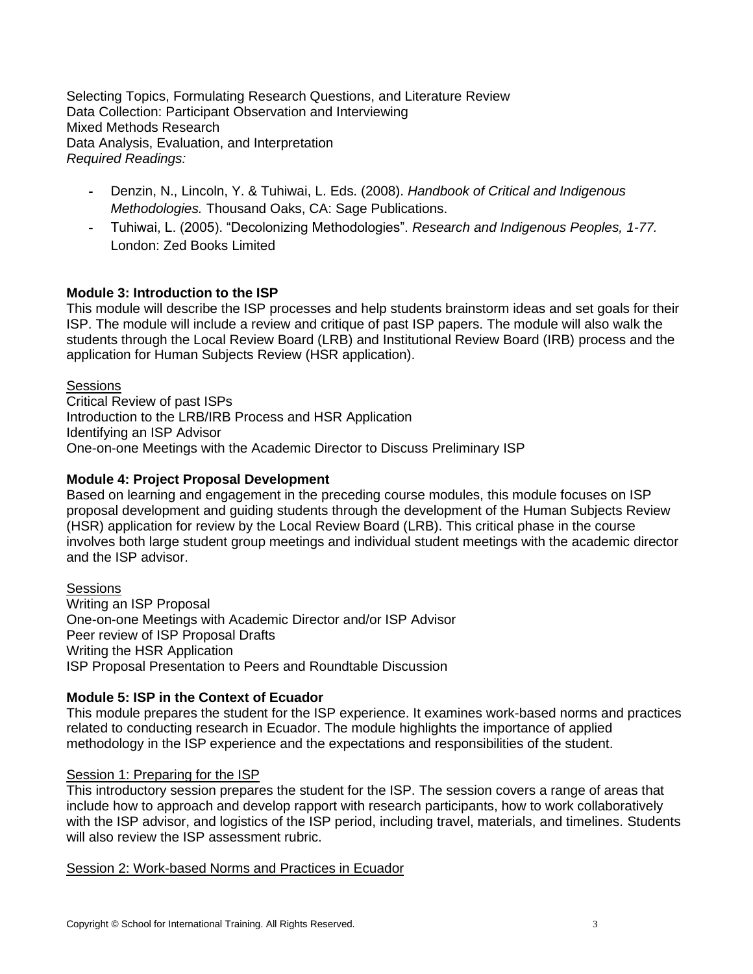Selecting Topics, Formulating Research Questions, and Literature Review Data Collection: Participant Observation and Interviewing Mixed Methods Research Data Analysis, Evaluation, and Interpretation *Required Readings:*

- Denzin, N., Lincoln, Y. & Tuhiwai, L. Eds. (2008). *Handbook of Critical and Indigenous Methodologies.* Thousand Oaks, CA: Sage Publications.
- Tuhiwai, L. (2005). "Decolonizing Methodologies". *Research and Indigenous Peoples, 1-77.*  London: Zed Books Limited

## **Module 3: Introduction to the ISP**

This module will describe the ISP processes and help students brainstorm ideas and set goals for their ISP. The module will include a review and critique of past ISP papers. The module will also walk the students through the Local Review Board (LRB) and Institutional Review Board (IRB) process and the application for Human Subjects Review (HSR application).

**Sessions** 

Critical Review of past ISPs Introduction to the LRB/IRB Process and HSR Application Identifying an ISP Advisor One-on-one Meetings with the Academic Director to Discuss Preliminary ISP

## **Module 4: Project Proposal Development**

Based on learning and engagement in the preceding course modules, this module focuses on ISP proposal development and guiding students through the development of the Human Subjects Review (HSR) application for review by the Local Review Board (LRB). This critical phase in the course involves both large student group meetings and individual student meetings with the academic director and the ISP advisor.

**Sessions** Writing an ISP Proposal One-on-one Meetings with Academic Director and/or ISP Advisor Peer review of ISP Proposal Drafts Writing the HSR Application ISP Proposal Presentation to Peers and Roundtable Discussion

## **Module 5: ISP in the Context of Ecuador**

This module prepares the student for the ISP experience. It examines work-based norms and practices related to conducting research in Ecuador. The module highlights the importance of applied methodology in the ISP experience and the expectations and responsibilities of the student.

## Session 1: Preparing for the ISP

This introductory session prepares the student for the ISP. The session covers a range of areas that include how to approach and develop rapport with research participants, how to work collaboratively with the ISP advisor, and logistics of the ISP period, including travel, materials, and timelines. Students will also review the ISP assessment rubric.

Session 2: Work-based Norms and Practices in Ecuador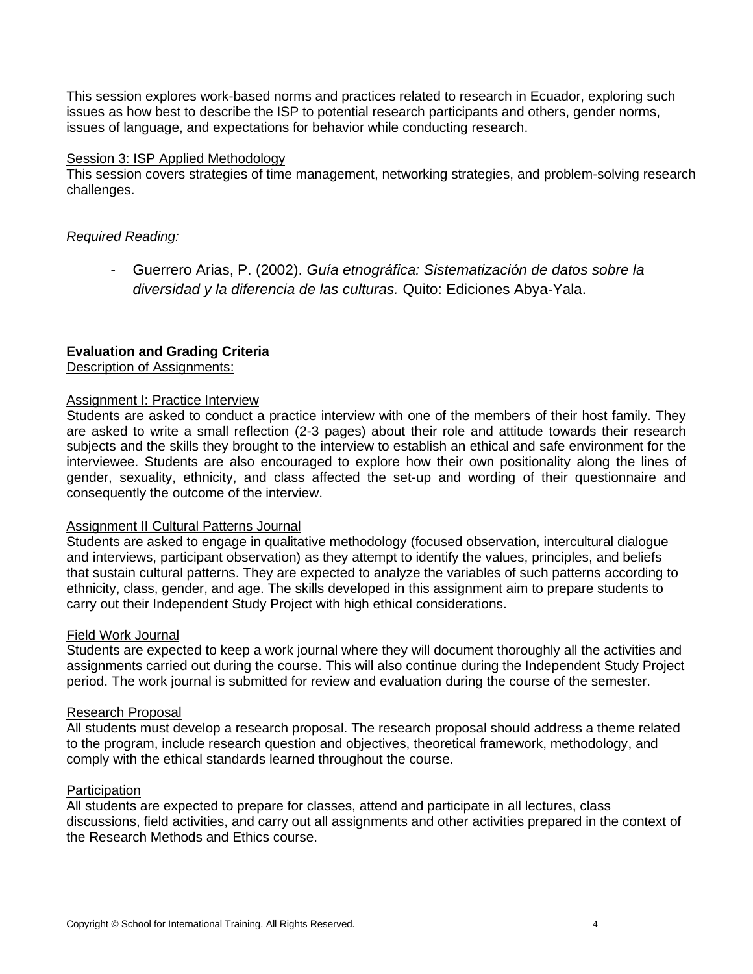This session explores work-based norms and practices related to research in Ecuador, exploring such issues as how best to describe the ISP to potential research participants and others, gender norms, issues of language, and expectations for behavior while conducting research.

#### Session 3: ISP Applied Methodology

This session covers strategies of time management, networking strategies, and problem-solving research challenges.

#### *Required Reading:*

- Guerrero Arias, P. (2002). *Guía etnográfica: Sistematización de datos sobre la diversidad y la diferencia de las culturas.* Quito: Ediciones Abya-Yala.

## **Evaluation and Grading Criteria**

Description of Assignments:

#### Assignment I: Practice Interview

Students are asked to conduct a practice interview with one of the members of their host family. They are asked to write a small reflection (2-3 pages) about their role and attitude towards their research subjects and the skills they brought to the interview to establish an ethical and safe environment for the interviewee. Students are also encouraged to explore how their own positionality along the lines of gender, sexuality, ethnicity, and class affected the set-up and wording of their questionnaire and consequently the outcome of the interview.

## **Assignment II Cultural Patterns Journal**

Students are asked to engage in qualitative methodology (focused observation, intercultural dialogue and interviews, participant observation) as they attempt to identify the values, principles, and beliefs that sustain cultural patterns. They are expected to analyze the variables of such patterns according to ethnicity, class, gender, and age. The skills developed in this assignment aim to prepare students to carry out their Independent Study Project with high ethical considerations.

#### Field Work Journal

Students are expected to keep a work journal where they will document thoroughly all the activities and assignments carried out during the course. This will also continue during the Independent Study Project period. The work journal is submitted for review and evaluation during the course of the semester.

#### Research Proposal

All students must develop a research proposal. The research proposal should address a theme related to the program, include research question and objectives, theoretical framework, methodology, and comply with the ethical standards learned throughout the course.

#### **Participation**

All students are expected to prepare for classes, attend and participate in all lectures, class discussions, field activities, and carry out all assignments and other activities prepared in the context of the Research Methods and Ethics course.